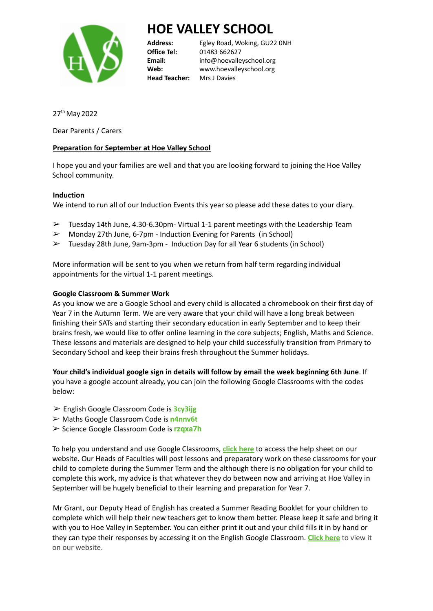

# **HOE VALLEY SCHOOL**

**Office Tel:** 01483 662627 **Head Teacher:** Mrs J Davies

**Address:** Egley Road, Woking, GU22 0NH **Email:** info@hoevalleyschool.org **Web:** www.hoevalleyschool.org

27<sup>th</sup> May 2022

Dear Parents / Carers

## **Preparation for September at Hoe Valley School**

I hope you and your families are well and that you are looking forward to joining the Hoe Valley School community.

## **Induction**

We intend to run all of our Induction Events this year so please add these dates to your diary.

- $\triangleright$  Tuesday 14th June, 4.30-6.30pm- Virtual 1-1 parent meetings with the Leadership Team
- ➢ Monday 27th June, 6-7pm Induction Evening for Parents (in School)
- ➢ Tuesday 28th June, 9am-3pm Induction Day for all Year 6 students (in School)

More information will be sent to you when we return from half term regarding individual appointments for the virtual 1-1 parent meetings.

### **Google Classroom & Summer Work**

As you know we are a Google School and every child is allocated a chromebook on their first day of Year 7 in the Autumn Term. We are very aware that your child will have a long break between finishing their SATs and starting their secondary education in early September and to keep their brains fresh, we would like to offer online learning in the core subjects; English, Maths and Science. These lessons and materials are designed to help your child successfully transition from Primary to Secondary School and keep their brains fresh throughout the Summer holidays.

**Your child's individual google sign in details will follow by email the week beginning 6th June**. If you have a google account already, you can join the following Google Classrooms with the codes below:

- ➢ English Google Classroom Code is **3cy3ijg**
- ➢ Maths Google Classroom Code is **n4nnv6t**
- ➢ Science Google Classroom Code is **rzqxa7h**

To help you understand and use Google Classrooms, **click [here](https://www.hoevalleyschool.org/wp-content/uploads/2022/05/Copy-of-How-do-I-sign-in-to-Google-Classroom_-1.pdf)** to access the help sheet on our website. Our Heads of Faculties will post lessons and preparatory work on these classrooms for your child to complete during the Summer Term and the although there is no obligation for your child to complete this work, my advice is that whatever they do between now and arriving at Hoe Valley in September will be hugely beneficial to their learning and preparation for Year 7.

Mr Grant, our Deputy Head of English has created a Summer Reading Booklet for your children to complete which will help their new teachers get to know them better. Please keep it safe and bring it with you to Hoe Valley in September. You can either print it out and your child fills it in by hand or they can type their responses by accessing it on the English Google Classroom. **[Click](https://www.hoevalleyschool.org/wp-content/uploads/2022/05/Summer-Reading-Booklet-2022-23.pdf) here** to view it on our website.